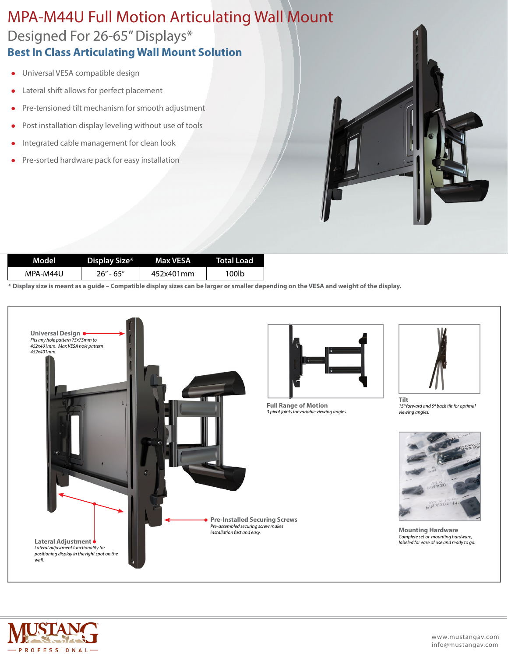## Designed For 26-65" Displays\* MPA-M44U Full Motion Articulating Wall Mount **Best In Class Articulating Wall Mount Solution**

- **.** Universal VESA compatible design
- Lateral shift allows for perfect placement
- Pre-tensioned tilt mechanism for smooth adjustment
- $\bullet$  Post installation display leveling without use of tools
- Integrated cable management for clean look
- Pre-sorted hardware pack for easy installation

| Model    | Display Size* | Max VESA ! | Total Load |
|----------|---------------|------------|------------|
| MPA-M44U | 26" - 65"     | 452x401mm  | 100lb      |

**\* Display size is meant as a guide – Compatible display sizes can be larger or smaller depending on the VESA and weight of the display.**